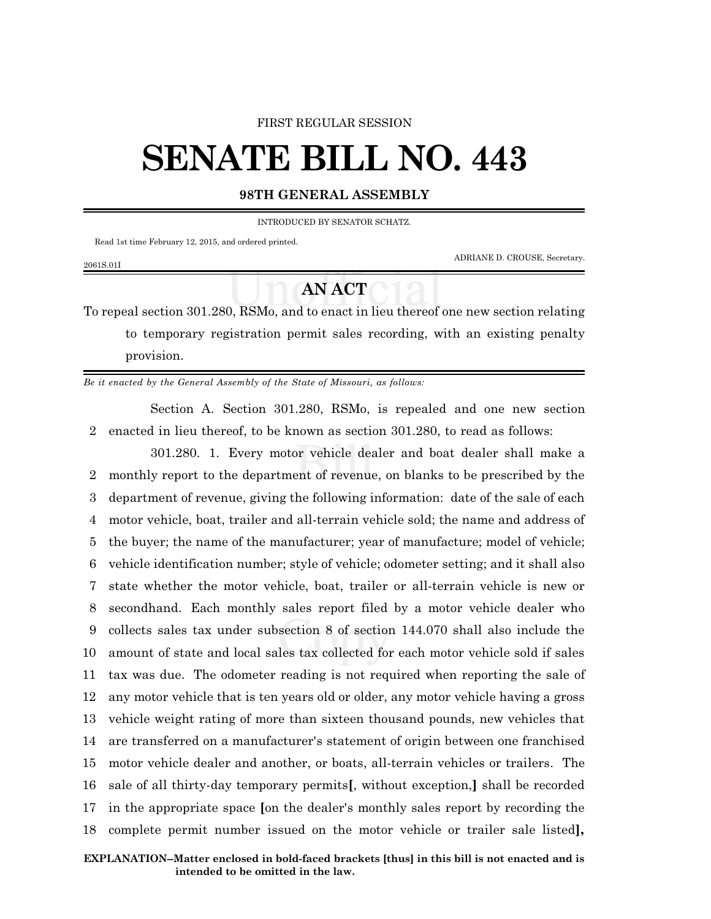## FIRST REGULAR SESSION

## **SENATE BILL NO. 443**

## **98TH GENERAL ASSEMBLY**

INTRODUCED BY SENATOR SCHATZ.

Read 1st time February 12, 2015, and ordered printed.

2061S.01I

ADRIANE D. CROUSE, Secretary.

## **AN ACT**

To repeal section 301.280, RSMo, and to enact in lieu thereof one new section relating to temporary registration permit sales recording, with an existing penalty provision.

*Be it enacted by the General Assembly of the State of Missouri, as follows:*

Section A. Section 301.280, RSMo, is repealed and one new section 2 enacted in lieu thereof, to be known as section 301.280, to read as follows:

301.280. 1. Every motor vehicle dealer and boat dealer shall make a monthly report to the department of revenue, on blanks to be prescribed by the department of revenue, giving the following information: date of the sale of each motor vehicle, boat, trailer and all-terrain vehicle sold; the name and address of the buyer; the name of the manufacturer; year of manufacture; model of vehicle; vehicle identification number; style of vehicle; odometer setting; and it shall also state whether the motor vehicle, boat, trailer or all-terrain vehicle is new or secondhand. Each monthly sales report filed by a motor vehicle dealer who collects sales tax under subsection 8 of section 144.070 shall also include the amount of state and local sales tax collected for each motor vehicle sold if sales tax was due. The odometer reading is not required when reporting the sale of any motor vehicle that is ten years old or older, any motor vehicle having a gross vehicle weight rating of more than sixteen thousand pounds, new vehicles that are transferred on a manufacturer's statement of origin between one franchised motor vehicle dealer and another, or boats, all-terrain vehicles or trailers. The sale of all thirty-day temporary permits**[**, without exception,**]** shall be recorded in the appropriate space **[**on the dealer's monthly sales report by recording the complete permit number issued on the motor vehicle or trailer sale listed**],**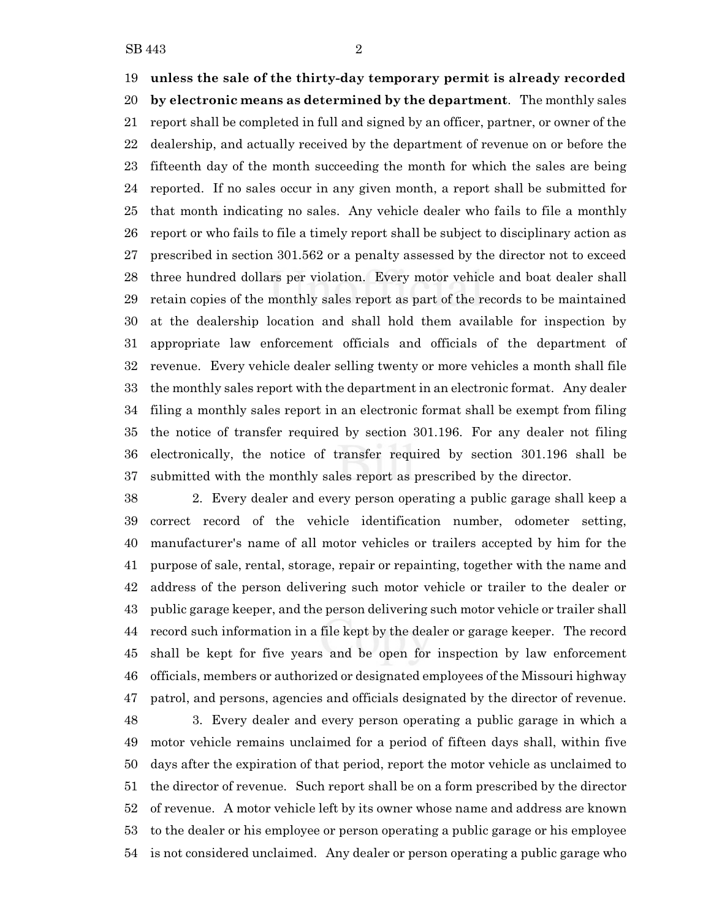**unless the sale of the thirty-day temporary permit is already recorded**

 **by electronic means as determined by the department**. The monthly sales report shall be completed in full and signed by an officer, partner, or owner of the dealership, and actually received by the department of revenue on or before the fifteenth day of the month succeeding the month for which the sales are being reported. If no sales occur in any given month, a report shall be submitted for that month indicating no sales. Any vehicle dealer who fails to file a monthly report or who fails to file a timely report shall be subject to disciplinary action as prescribed in section 301.562 or a penalty assessed by the director not to exceed three hundred dollars per violation. Every motor vehicle and boat dealer shall retain copies of the monthly sales report as part of the records to be maintained at the dealership location and shall hold them available for inspection by appropriate law enforcement officials and officials of the department of revenue. Every vehicle dealer selling twenty or more vehicles a month shall file the monthly sales report with the department in an electronic format. Any dealer filing a monthly sales report in an electronic format shall be exempt from filing the notice of transfer required by section 301.196. For any dealer not filing electronically, the notice of transfer required by section 301.196 shall be submitted with the monthly sales report as prescribed by the director.

 2. Every dealer and every person operating a public garage shall keep a correct record of the vehicle identification number, odometer setting, manufacturer's name of all motor vehicles or trailers accepted by him for the purpose of sale, rental, storage, repair or repainting, together with the name and address of the person delivering such motor vehicle or trailer to the dealer or public garage keeper, and the person delivering such motor vehicle or trailer shall record such information in a file kept by the dealer or garage keeper. The record shall be kept for five years and be open for inspection by law enforcement officials, members or authorized or designated employees of the Missouri highway patrol, and persons, agencies and officials designated by the director of revenue.

 3. Every dealer and every person operating a public garage in which a motor vehicle remains unclaimed for a period of fifteen days shall, within five days after the expiration of that period, report the motor vehicle as unclaimed to the director of revenue. Such report shall be on a form prescribed by the director of revenue. A motor vehicle left by its owner whose name and address are known to the dealer or his employee or person operating a public garage or his employee is not considered unclaimed. Any dealer or person operating a public garage who